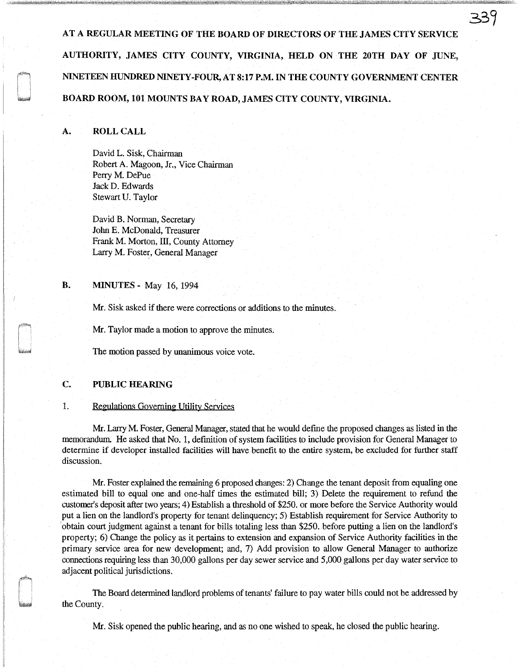AT A REGULAR MEETING OF THE BOARD OF DIRECTORS OF THE JAMES CITY SERVICE AUTHORITY, JAMES CITY COUNTY, VIRGINIA, HELD ON THE 20TH DAY OF JUNE, NINETEEN HUNDRED NINETY-FOUR, AT 8:17 P.M. IN THE COUNTY GOVERNMENT CENTER BOARD ROOM, 101 MOUNTS BAY ROAD, JAMES CITY COUNTY, VIRGINIA.

339

#### A. ROLL CALL

David L. Sisk, Chairman Robert A. Magoon, Jr., Vice Chairman Perry M. DePue JackD. Edwards Stewart U. Taylor

David B. Norman, Secretary John E. McDonald, Treasurer Frank M. Morton, III, County Attorney Larry M. Foster, General Manager

**B.** MINUTES - May 16, 1994

Mr. Sisk asked if there were corrections or additions to the minutes.

Mr. Taylor made a motion to approve the minutes.

The motion passed by unanimous voice vote.

#### C. PUBLIC HEARING

#### 1. Regulations Governing Utility Services

Mr. Larry M. Foster, General Manager, stated that he would define the proposed changes as listed in the memorandum He asked that No. 1, definition of system facilities to include provision for General Manager to determine if developer installed facilities will have benefit to the entire system, be excluded for further staff discussion.

Mr. Foster explained the remaining 6 proposed changes: 2) Change the tenant deposit from equaling one estimated bill to equal one and one-half times the estimated bill; 3) Delete the requirement to refund the customer's deposit after two years; 4) Establish a threshold of \$250. or more before the Service Authority would put a lien on the landlord's property for tenant delinquency; 5) Establish requirement for Service Authority to obtain court judgment against a tenant for bills totaling less than \$250. before putting a lien on the landlord's property; 6) Change the policy as it pertains to extension and expansion of Service Authority facilities in the primary service area for new development; and, 7) Add provision to allow General Manager to authorize connections requiring less than 30,000 gallons per day sewer service and 5,000 gallons per day water service to adjacent political jurisdictions.

The Board determined landlord problems of tenants' failure to pay water bills could not be addressed by the County.

Mr. Sisk opened the public hearing, and as no one wished to speak, he closed the public hearing.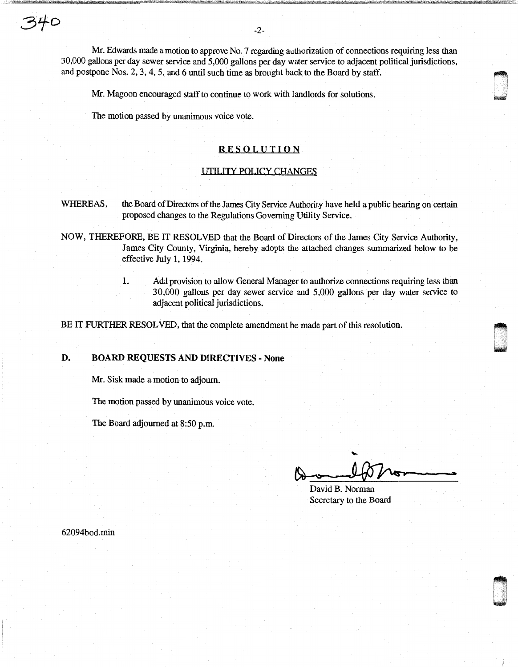Mr. Edwards made a motion to approve No. 7 regarding authorization of connections requiring less than 30,000 gallons per day sewer service and 5,000 gallons per day water service to adjacent political jurisdictions, and postpone Nos. 2, 3, 4, 5, and 6 until such time as brought back to the Board by staff.

Mr. Magoon encouraged staff to continue to work with landlords for solutions.

The motion passed by unanimous voice vote.

### RESOLUTION

#### UTILITY POLICY CHANGES

WHEREAS, the Board of Directors of the James City Service Authority have held a public hearing on certain proposed changes to the Regulations Governing Utility Service.

NOW, THEREFORE, BE IT RESOLVED that the Board of Directors of the James City Service Authority, James City County, Virginia, hereby adopts the attached changes summarized below to be effective July 1, 1994.

> 1. Add provision to allow General Manager to authorize connections requiring less than 30,000 gallons per day sewer service and 5,000 gallons per day water service to adjacent political jurisdictions.

BE IT FURTHER RESOLVED, that the complete amendment be made part of this resolution.

## D. BOARD REQUESTS AND DIRECTIVES - None

Mr. Sisk made a motion to adjourn.

The motion passed by unanimous voice vote.

The Board adjourned at 8:50 p.m.

 $\blacksquare$ ! ! ~

David B. Norman Secretary to the Board

62094bod.min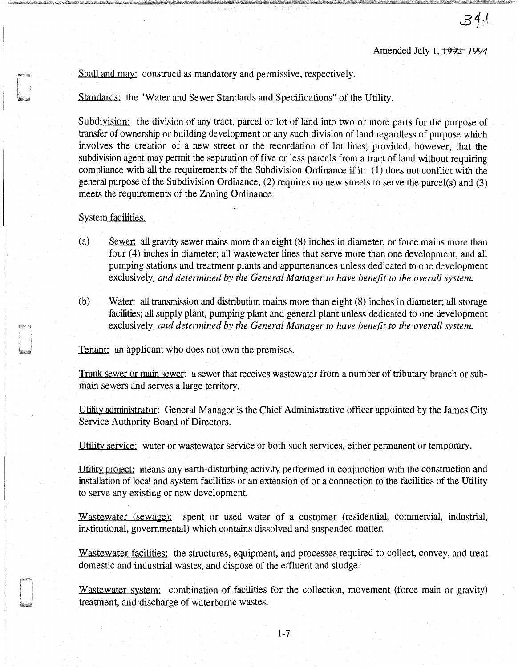Amended July 1, 1992 1994

Shall and may: construed as mandatory and permissive, respectively.

Standards: the "Water and Sewer Standards and Specifications" of the Utility.

Subdivision: the division of any tract, parcel or lot of land into two or more parts for the purpose of transfer of ownership or building development or any such division of land regardless of purpose which involves the creation of a new street or the recordation of lot lines; provided, however, that the subdivision agent may permit the separation of five or less parcels from a tract of land without requiring compliance with all the requirements of the Subdivision Ordinance if it: (1) does not conflict with the general purpose of the Subdivision Ordinance, (2) requires no new streets to serve the parcel(s) and (3) meets the requirements of the Zoning Ordinance.

#### System facilities.

- (a) Sewer: all gravity sewer mains more than eight (8) inches in diameter, or force mains more than four (4) inches in diameter; all wastewater lines that serve more than one development, and all pumping stations and treatment plants and appurtenances unless dedicated to one development exclusively, *and determined by the General Manager to have benefit to the overall system.*
- (b) Water: all transmission and distribution mains more than eight (8) inches in diameter; all storage facilities; all supply plant, pumping plant and general plant unless dedicated to one development exclusively, *and determined by the General Manager to have benefit to the overall system.*

Tenant: an applicant who does not own the premises.

Trunk sewer or main sewer: a sewer that receives wastewater from a number of tributary branch or submain sewers and serves a large territory.

Utility administrator: General Manager is the Chief Administrative officer appointed by the James City Service Authority Board of Directors.

Utility service: water or wastewater service or both such services, either permanent or temporary.

Utility project: means any earth-disturbing activity performed in conjunction with the construction and installation of local and system facilities or an extension of or a connection to the facilities of the Utility to serve any existing or new development.

Wastewater (sewage): spent or used water of a customer (residential, commercial, industrial, institutional, governmental) which contains dissolved and suspended matter.

Wastewater facilities: the structures, equipment, and processes required to collect, convey, and treat domestic and industrial wastes, and dispose of the effluent and sludge.

Wastewater system: combination of facilities for the collection, movement (force main or gravity) treatment, and discharge of waterborne wastes.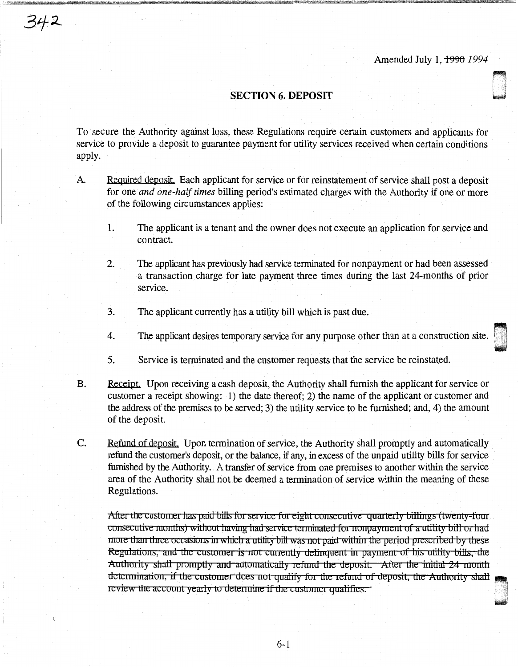~

**Linguist** 

### SECTION 6. DEPOSIT

342

To secure the Authority against loss, these Regulations require certain customers and applicants for service to provide a deposit to guarantee payment for utility services received when certain conditions apply.

- A. Required deposit. Each applicant for service or for reinstatement of service shall post a deposit for one *and one-half times* billing period's estimated charges with the Authority if one or more of the following circumstances applies:
	- I. The applicant is a tenant and the owner does not execute an application for service and contract.
	- 2. The applicant has previously had service terminated for nonpayment or had been assessed a transaction charge for late payment three times during the last 24-months of prior service.
	- 3. The applicant currently has a utility bill which is past due.
	- 4. The applicant desires temporary service for any purpose other than at a construction site.
	- 5. Service is terminated and the customer requests that the service be reinstated.
- B. Receipt. Upon receiving a cash deposit, the Authority shall furnish the applicant for service or customer a receipt showing: 1) the date thereof; 2) the name of the applicant or customer and the address of the premises to be served; 3) the utility service to be furnished; and, 4) the amount of the deposit.
- C. Refund of deposit. Upon termination of service, the Authority shall promptly and automatically refund the customer's deposit, or the balance, if any, in excess of the unpaid utility bills for service furnished by the Authority. A transfer of service from one premises to another within the service area of the Authority shall not be deemed a termination of service within the meaning of these Regulations.

After the customer has paid bills for service for eight consecutive quarterly billings (twenty-four consecutive months) without having had service terminated for nonpayment of a utility bill or had more than three occasions in which a utility bill was not paid within the period prescribed by these Regulations, and the customer is not currently delinquent in payment of his utility bills, the Authority shall promptly and automatically refund the deposit. After the initial 24 month determination, if the customer does not qualify for the refund of deposit, the Authority shall review the account yearly to determine if the customer qualifies.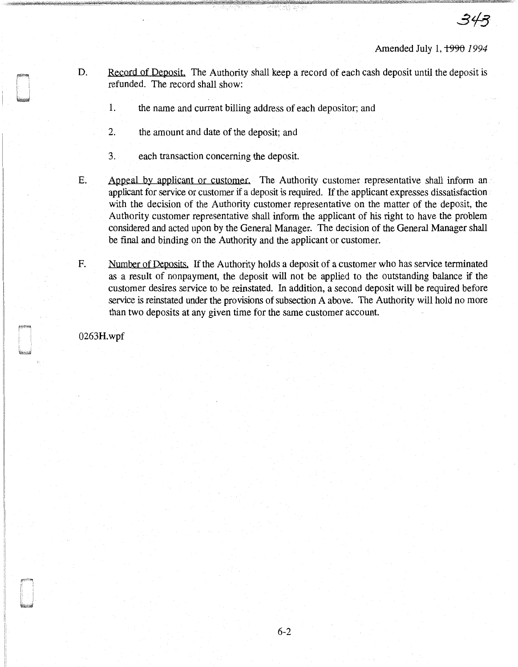Amended July 1, 1990 1994

- D. Record of Deposit. The Authority shall keep a record of each cash deposit until the deposit is refunded. The record shall show:
	- 1. the name and current billing address of each depositor; and
	- 2. the amount and date of the deposit; and
	- 3. each transaction concerning the deposit.
- E. Appeal by applicant or customer. The Authority customer representative shall inform an applicant for service or customer if a deposit is required. If the applicant expresses dissatisfaction with the decision of the Authority customer representative on the matter of the deposit, the Authority customer representative shall inform the applicant of his right to have the problem considered and acted upon by the General Manager. The decision of the General Manager shall be final and binding on the Authority and the applicant or customer.
- F. Number of Deposits. If the Authority holds a deposit of a customer who has service terminated as a result of nonpayment, the deposit will not be applied to the outstanding balance if the customer desires service to be reinstated. In addition, a second deposit will be required before service is reinstated under the provisions of subsection A above. The Authority will hold no more than two deposits at any given time for the same customer account.

0263H.wpf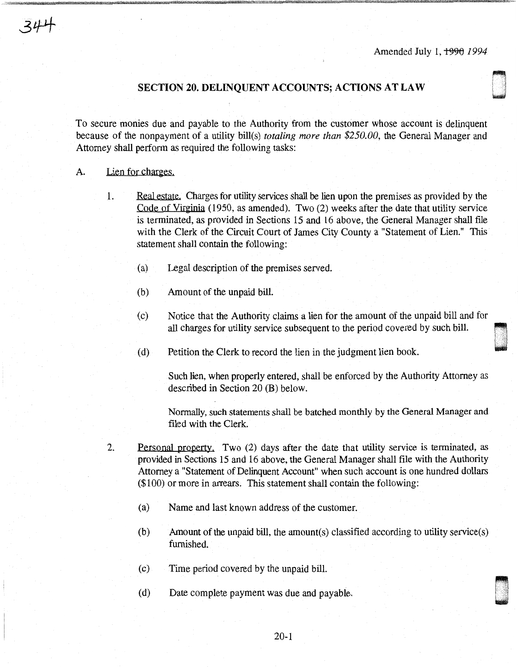0 .

## **SECTION 20. DELINQUENT ACCOUNTS; ACTIONS AT LAW**

To secure monies due and payable to the Authority from the customer whose account is delinquent because of the nonpayment of a utility bill(s) *totaling more than \$250.00,* the General Manager and Attorney shall perform as required the following tasks:

### A. Lien for charges.

- 1. Real estate. Charges for utility services shall be lien upon the premises as provided by the Code of Virginia (1950, as amended). Two (2) weeks after the date that utility service is terminated, as provided in Sections 15 and 16 above, the General Manager shall file with the Clerk of the Circuit Court of James City County a "Statement of Lien." This statement shall contain the following:
	- (a) Legal description of the premises served.
	- (b) Amount of the unpaid bill.
	- (c) Notice that the Authority claims a lien for the amount of the unpaid bill and for all charges for utility service subsequent to the period covered by such bill.
	- (d) Petition the Clerk to record the lien in the judgment lien book.

Such lien, when properly entered, shall be enforced by the Authority Attorney as described in Section 20 (B) below.

Normally, such statements shall be batched monthly by the General Manager and filed with the Clerk.

- 2. Personal property. Two (2) days after the date that utility service is terminated, as provided in Sections 15 and 16 above, the General Manager shall file with the Authority Attorney a "Statement of Delinquent Account" when such account is one hundred dollars (\$100) or more in arrears. This statement shall contain the following:
	- (a) Name and last known address of the customer.
	- (b) Amount of the unpaid bill, the amount(s) classified according to utility service(s) furnished.
	- ( c) Time period covered by the unpaid bill.
	- (d) Date complete payment was due and payable.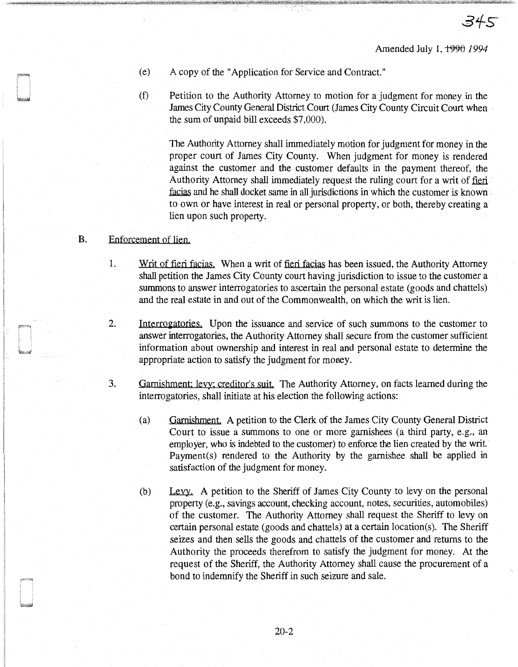- ( e) A copy of the "Application for Service and Contract."
- (f) Petition to the Authority Attorney to motion for a judgment for money in the James City County General District Court (James City County Circuit Court when the sum of unpaid bill exceeds \$7 ,000).

The Authority Attorney shall immediately motion for judgment for money in the proper court of James City County. When judgment for money is rendered against the customer and the customer defaults in the payment thereof, the Authority Attorney shall immediately request the ruling court for a writ of fieri. .facias and he shall docket same in all jurisdictions in which the customer is known to own or have interest in real or personal property, or both, thereby creating a lien upon such property.

### B. Enforcement of lien.

- I. Writ of fieri facias. When a writ of fieri facias has been issued, the Authority Attorney shall petition the James City County court having jurisdiction to issue to the customer a summons to answer interrogatories to ascertain the personal estate (goods and chattels) and the real estate in and out of the Commonwealth, on which the writ is lien.
- 2. Interrogatories. Upon the issuance and service of such summons to the customer to answer interrogatories, the Authority Attorney shall secure from the customer sufficient information about ownership and interest in real and personal estate to determine the appropriate action to satisfy the judgment for money.
- 3. Garnishment: levy: creditor's suit. The Authority Attorney, on facts learned during the interrogatories, shall initiate at his election the following actions:
	- (a) Garnishment. A petition to the Clerk of the James City County General District Court to issue a summons to one or more garnishees (a third party, e.g., an employer, who is indebted to the customer) to enforce the lien created by the writ. Payment(s) rendered to the Authority by the garnishee shall be applied in satisfaction of the judgment for money.
	- (b) Levy. A petition to the Sheriff of James City County to levy on the personal property (e.g., savings account, checking account, notes, securities, automobiles) of the customer. The Authority Attorney shall request the Sheriff to levy on certain personal estate (goods and chattels) at a certain location(s). The Sheriff seizes and then sells the goods and chattels of the customer and returns to the Authority the proceeds therefrom to satisfy the judgment for money. At the request of the Sheriff, the Authority Attorney shall cause the procurement of a bond to indemnify the Sheriff in such seizure and sale.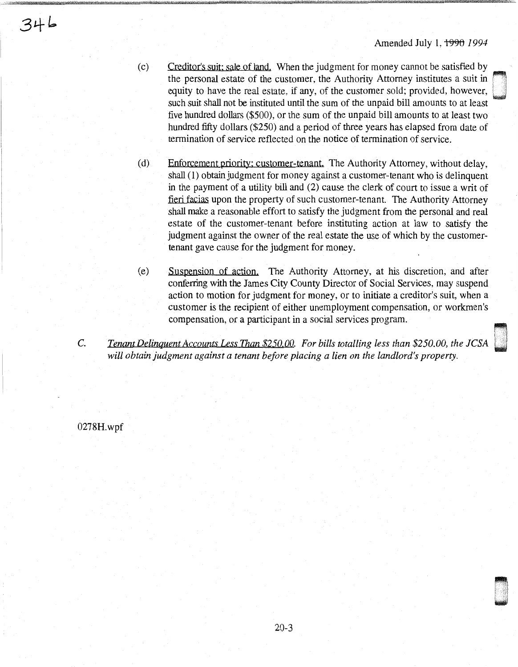(c) Creditor's suit: sale of land. When the judgment for money cannot be satisfied by the personal estate of the customer, the Authority Attorney institutes a suit in equity to have the real estate, if any, of the customer sold; provided, however, such suit shall not be instituted until the sum of the unpaid bill amounts to at least five hundred dollars (\$500), or the sum of the unpaid bill amounts to at least two hundred fifty dollars (\$250) and a period of three years has elapsed from date of termination of service reflected on the notice of termination of service.

- (d) Enforcement priority: customer-tenant. The Authority Attorney, without delay, shall (1) obtain judgment for money against a customer-tenant who is delinquent in the payment of a utility bill and (2) cause the clerk of court to issue a writ of fieri facias upon the property of such customer-tenant. The Authority Attorney shall make a reasonable effort to satisfy the judgment from the personal and real estate of the customer-tenant before instituting action at law to satisfy the judgment against the owner of the real estate the use of which by the customertenant gave cause for the judgment for money.
- (e) Suspension of action. The Authority Attorney, at his discretion, and after conferring with the James City County Director of Social Services, may suspend action to motion for judgment for money, or to initiate a creditor's suit, when a customer is the recipient of either unemployment compensation, or workmen's compensation, or a participant in a social services program.
- c. Tenant Delinquent Accounts Less Than \$250.00. For bills totalling less than \$250.00, the JCSA *will obtain judgment against a tenant before placing a lien on the landlord's property.*

0278H.wpf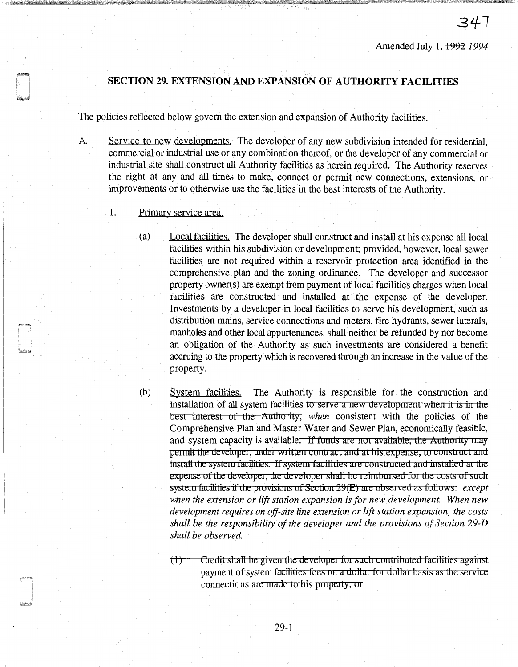# SECTION 29. EXTENSION AND EXPANSION OF AUTHORITY FACILITIES

The policies reflected below govern the extension and expansion of Authority facilities.

- A. Service to new developments. The developer of any new subdivision intended for residential, commercial or industrial use or any combination thereof, or the developer of any commercial or industrial site shall construct all Authority facilities as herein required. The Authority reserves the right at any and all times to make, connect or permit new connections, extensions, or improvements or to otherwise use the facilities in the best interests of the Authority.
	- 1. Primary service area.
		- (a) Local facilities. The developer shall construct and install at his expense all local facilities within his subdivision or development; provided, however, local sewer facilities are not required within a reservoir protection area identified in the comprehensive plan and the zoning ordinance. The developer and successor property owner(s) are exempt from payment of local facilities charges when local facilities are constructed and installed at the expense of the developer. Investments by a developer in local facilities to serve his development, such as distribution mains, service connections and meters, fire hydrants, sewer laterals, manholes and other local appurtenances, shall neither be refunded by nor become an obligation of the Authority as such investments are considered a benefit accruing to the property which is recovered through an increase in the value of the property.
		- (b) System facilities. The Authority is responsible for the construction and installation of all system facilities to serve a new development when it is in the best interest of the Authority, *when* consistent with the policies of the Comprehensive Plan and Master Water and Sewer Plan, economically feasible, and system capacity is available. If funds are not available, the Authority may permit the developer, under written contract and at his expense, to construct and install the system facilities. If system facilities are constructed and installed at the expense of the developer, the developer shall be reimbursed for the costs of such system facilities if the provisions of Section 29(E) are observed as follows: *except when the extension or lift station expansion is for new development. When new development requires an off-site line extension or lift station expansion, the costs shall be the responsibility of the developer and the provisions of Section 29-D shall be observed.* 
			- $(1)$  Credit shall be given the developer for such contributed facilities against payment of system facilities fees on a dollar for dollar basis as the service connections are made to his property, or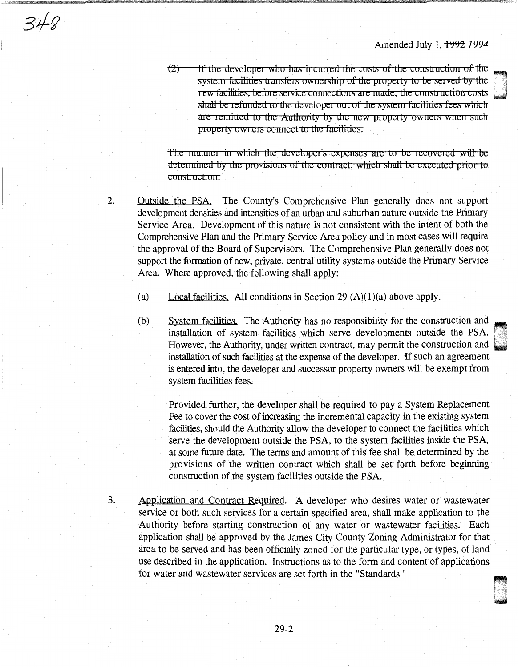ii 1999<br>L<sub>isa</sub>ay

~ .1 w

 $(2)$ If the developer who has incurred the costs of the construction of the system facilities transfers ownership of the property to be served by the new facilities, before service connections are made, the construction costs shall be refunded to the developer out of the system facilities fees which are remitted to the Authority by the new property owners when such property owners connect to the facilities.

The manner in which the developer's expenses are to be recovered will be determined by the provisions of the contract, which shall be executed prior to construction.

2. Outside the PSA. The County's Comprehensive Plan generally does not support development densities and intensities of an urban and suburban nature outside the Primary Service Area. Development of this nature is not consistent with the intent of both the Comprehensive Plan and the Primary Service Area policy and in most cases will require the approval of the Board of Supervisors. The Comprehensive Plan generally does not support the formation of new, private, central utility systems outside the Primary Service Area. Where approved, the following shall apply:

(a) Local facilities. All conditions in Section 29  $(A)(1)(a)$  above apply.

(b) System facilities. The Authority has no responsibility for the construction and installation of system facilities which serve developments outside the PSA. However, the Authority, under written contract, may permit the construction and installation of such facilities at the expense of the developer. If such an agreement is entered into, the developer and successor property owners will be exempt from system facilities fees.

Provided further, the developer shall be required to pay a System Replacement Fee to cover the cost of increasing the incremental capacity in the existing system facilities, should the Authority allow the developer to connect the facilities which serve the development outside the PSA, to the system facilities inside the PSA, at some future date. The terms and amount of this fee shall be determined by the provisions of the written contract which shall be set forth before beginning construction of the system facilities outside the PSA.

Application and Contract Required. A developer who desires water or wastewater service or both such services for a certain specified area, shall make application to the Authority before starting construction of any water or wastewater facilities. Each application shall be approved by the James City County Zoning Administrator for that area to be served and has been officially zoned for the particular type, or types, of land use described in the application. Instructions as to the form and content of applications for water and wastewater services are set forth in the "Standards."

3.

 $348$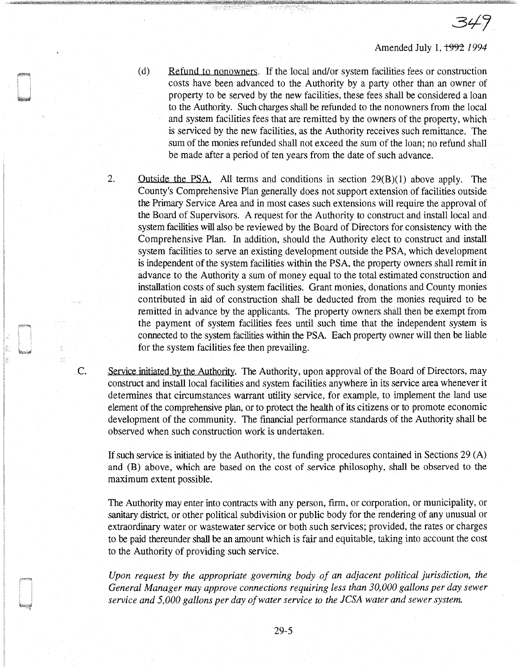349

- (d) Refund to nonowners. If the local and/or system facilities fees or construction costs have been advanced to the Authority by a party other than an owner of property to be served by the new facilities, these fees shall be considered a loan to the Authority. Such charges shall be refunded to the nonowners from the local and system facilities fees that are remitted by the owners of the property, which is serviced by the new facilities, as the Authority receives such remittance. The sum of the monies refunded shall not exceed the sum of the loan; no refund shall be made after a period of ten years from the date of such advance.
- 2. Outside the PSA. All terms and conditions in section 29(B)(l) above apply. The County's Comprehensive Plan generally does not support extension of facilities outside the Primary Service Area and in most cases such extensions will require the approval of the Board of Supervisors. A request for the Authority to construct and install local and system facilities will also be reviewed by the Board of Directors for consistency with the Comprehensive Plan. In addition, should the Authority elect to construct and install system facilities to serve an existing development outside the PSA, which development is independent of the system facilities within the PSA, the property owners shall remit in advance to the Authority a sum of money equal to the total estimated construction and installation costs of such system facilities. Grant monies, donations and County monies contributed in aid of construction shall be deducted from the monies required to be remitted in advance by the applicants. The property owners shall then be exempt from the payment of system facilities fees until such time that the independent system is connected to the system facilities within the PSA Each property owner will then be liable for the system facilities fee then prevailing.

C. Service initiated by the Authority. The Authority, upon approval of the Board of Directors, may construct and install local facilities and system facilities anywhere in its service area whenever it determines that circumstances warrant utility service, for example, to implement the land use element of the comprehensive plan, or to protect the health of its citizens or to promote economic development of the community. The financial performance standards of the Authority shall be observed when such construction work is undertaken.

If such service is initiated by the Authority, the funding procedures contained in Sections 29 (A) and (B) above, which are based on the cost of service philosophy, shall be observed to the maximum extent possible.

The Authority may enter into contracts with any person, firm, or corporation, or municipality, or sanitary district, or other political subdivision or public body for the rendering of any unusual or extraordinary water or wastewater service or both such services; provided, the rates or charges to be paid thereunder shall be an amount which is fair and equitable, taking into account the cost to the Authority of providing such service.

*Upon request by the appropriate governing body of an adjacent political jurisdiction, the General Manager may approve connections requiring less than 30,000 gallons per day sewer service and 5,000 gallons per day of water service to the JCSA water and sewer system.*